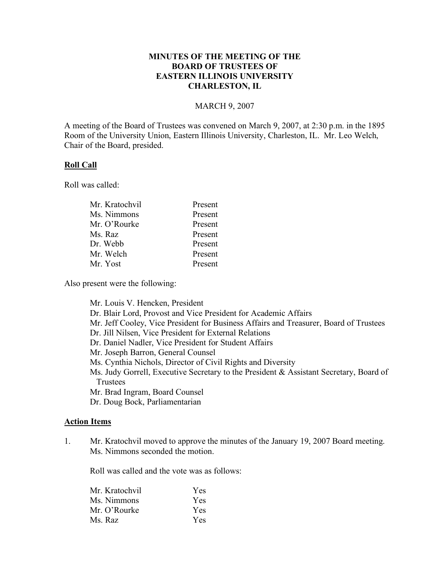# **MINUTES OF THE MEETING OF THE BOARD OF TRUSTEES OF EASTERN ILLINOIS UNIVERSITY CHARLESTON, IL**

#### MARCH 9, 2007

A meeting of the Board of Trustees was convened on March 9, 2007, at 2:30 p.m. in the 1895 Room of the University Union, Eastern Illinois University, Charleston, IL. Mr. Leo Welch, Chair of the Board, presided.

#### **Roll Call**

Roll was called:

| Mr. Kratochvil | Present |
|----------------|---------|
| Ms. Nimmons    | Present |
| Mr. O'Rourke   | Present |
| Ms. Raz        | Present |
| Dr. Webb       | Present |
| Mr. Welch      | Present |
| Mr. Yost       | Present |
|                |         |

Also present were the following:

Mr. Louis V. Hencken, President Dr. Blair Lord, Provost and Vice President for Academic Affairs Mr. Jeff Cooley, Vice President for Business Affairs and Treasurer, Board of Trustees Dr. Jill Nilsen, Vice President for External Relations Dr. Daniel Nadler, Vice President for Student Affairs Mr. Joseph Barron, General Counsel Ms. Cynthia Nichols, Director of Civil Rights and Diversity Ms. Judy Gorrell, Executive Secretary to the President & Assistant Secretary, Board of Trustees Mr. Brad Ingram, Board Counsel Dr. Doug Bock, Parliamentarian

### **Action Items**

1. Mr. Kratochvil moved to approve the minutes of the January 19, 2007 Board meeting. Ms. Nimmons seconded the motion.

Roll was called and the vote was as follows:

| Mr. Kratochvil | Yes.       |
|----------------|------------|
| Ms. Nimmons    | <b>Yes</b> |
| Mr. O'Rourke   | <b>Yes</b> |
| Ms. Raz        | <b>Yes</b> |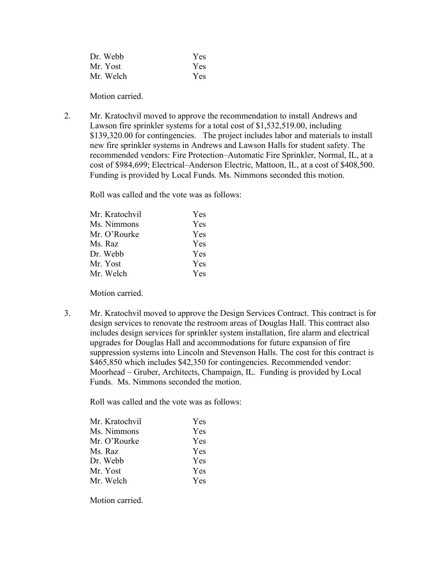| Dr. Webb  | Yes |
|-----------|-----|
| Mr. Yost  | Yes |
| Mr. Welch | Yes |

Motion carried.

2. Mr. Kratochvil moved to approve the recommendation to install Andrews and Lawson fire sprinkler systems for a total cost of \$1,532,519.00, including \$139,320.00 for contingencies. The project includes labor and materials to install new fire sprinkler systems in Andrews and Lawson Halls for student safety. The recommended vendors: Fire Protection–Automatic Fire Sprinkler, Normal, IL, at a cost of \$984,699; Electrical–Anderson Electric, Mattoon, IL, at a cost of \$408,500. Funding is provided by Local Funds. Ms. Nimmons seconded this motion.

Roll was called and the vote was as follows:

| Mr. Kratochvil | Yes        |
|----------------|------------|
| Ms. Nimmons    | Yes        |
| Mr. O'Rourke   | Yes        |
| Ms. Raz        | <b>Yes</b> |
| Dr. Webb       | <b>Yes</b> |
| Mr. Yost       | <b>Yes</b> |
| Mr. Welch      | Yes        |
|                |            |

Motion carried.

3. Mr. Kratochvil moved to approve the Design Services Contract. This contract is for design services to renovate the restroom areas of Douglas Hall. This contract also includes design services for sprinkler system installation, fire alarm and electrical upgrades for Douglas Hall and accommodations for future expansion of fire suppression systems into Lincoln and Stevenson Halls. The cost for this contract is \$465,850 which includes \$42,350 for contingencies. Recommended vendor: Moorhead – Gruber, Architects, Champaign, IL. Funding is provided by Local Funds. Ms. Nimmons seconded the motion.

Roll was called and the vote was as follows:

| Mr. Kratochvil | Yes.       |
|----------------|------------|
| Ms. Nimmons    | Yes.       |
| Mr. O'Rourke   | <b>Yes</b> |
| Ms. Raz        | <b>Yes</b> |
| Dr. Webb       | <b>Yes</b> |
| Mr. Yost       | <b>Yes</b> |
| Mr. Welch      | Yes.       |

Motion carried.